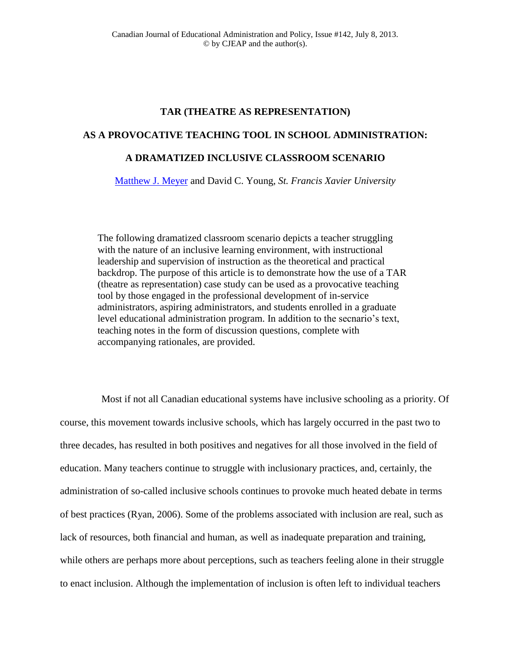# **TAR (THEATRE AS REPRESENTATION)**

## **AS A PROVOCATIVE TEACHING TOOL IN SCHOOL ADMINISTRATION:**

## **A DRAMATIZED INCLUSIVE CLASSROOM SCENARIO**

[Matthew J. Meyer](mailto:mmeyer@stfx.ca) and David C. Young, *St. Francis Xavier University*

The following dramatized classroom scenario depicts a teacher struggling with the nature of an inclusive learning environment, with instructional leadership and supervision of instruction as the theoretical and practical backdrop. The purpose of this article is to demonstrate how the use of a TAR (theatre as representation) case study can be used as a provocative teaching tool by those engaged in the professional development of in-service administrators, aspiring administrators, and students enrolled in a graduate level educational administration program. In addition to the secnario's text, teaching notes in the form of discussion questions, complete with accompanying rationales, are provided.

Most if not all Canadian educational systems have inclusive schooling as a priority. Of course, this movement towards inclusive schools, which has largely occurred in the past two to three decades, has resulted in both positives and negatives for all those involved in the field of education. Many teachers continue to struggle with inclusionary practices, and, certainly, the administration of so-called inclusive schools continues to provoke much heated debate in terms of best practices (Ryan, 2006). Some of the problems associated with inclusion are real, such as lack of resources, both financial and human, as well as inadequate preparation and training, while others are perhaps more about perceptions, such as teachers feeling alone in their struggle to enact inclusion. Although the implementation of inclusion is often left to individual teachers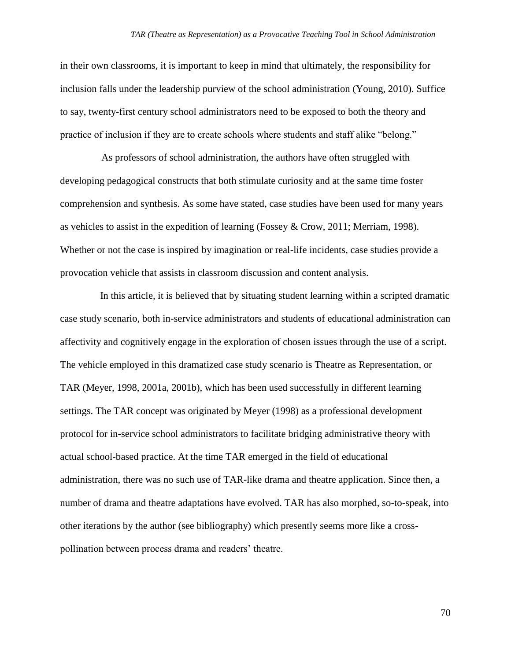in their own classrooms, it is important to keep in mind that ultimately, the responsibility for inclusion falls under the leadership purview of the school administration (Young, 2010). Suffice to say, twenty-first century school administrators need to be exposed to both the theory and practice of inclusion if they are to create schools where students and staff alike "belong."

As professors of school administration, the authors have often struggled with developing pedagogical constructs that both stimulate curiosity and at the same time foster comprehension and synthesis. As some have stated, case studies have been used for many years as vehicles to assist in the expedition of learning (Fossey & Crow, 2011; Merriam, 1998). Whether or not the case is inspired by imagination or real-life incidents, case studies provide a provocation vehicle that assists in classroom discussion and content analysis.

In this article, it is believed that by situating student learning within a scripted dramatic case study scenario, both in-service administrators and students of educational administration can affectivity and cognitively engage in the exploration of chosen issues through the use of a script. The vehicle employed in this dramatized case study scenario is Theatre as Representation, or TAR (Meyer, 1998, 2001a, 2001b), which has been used successfully in different learning settings. The TAR concept was originated by Meyer (1998) as a professional development protocol for in-service school administrators to facilitate bridging administrative theory with actual school-based practice. At the time TAR emerged in the field of educational administration, there was no such use of TAR-like drama and theatre application. Since then, a number of drama and theatre adaptations have evolved. TAR has also morphed, so-to-speak, into other iterations by the author (see bibliography) which presently seems more like a crosspollination between process drama and readers' theatre.

70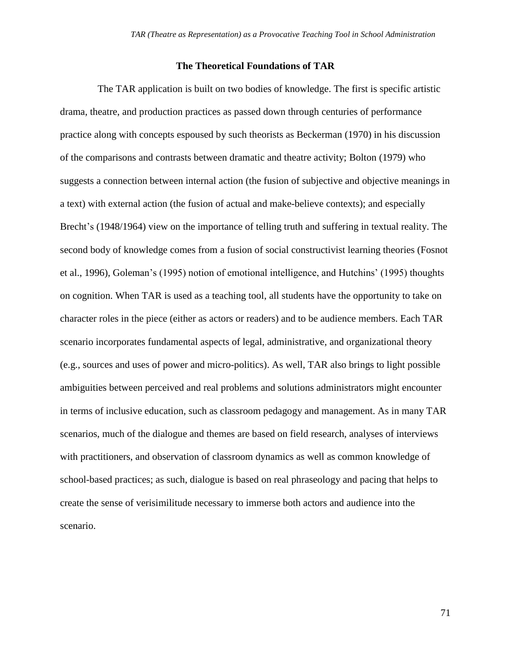## **The Theoretical Foundations of TAR**

The TAR application is built on two bodies of knowledge. The first is specific artistic drama, theatre, and production practices as passed down through centuries of performance practice along with concepts espoused by such theorists as Beckerman (1970) in his discussion of the comparisons and contrasts between dramatic and theatre activity; Bolton (1979) who suggests a connection between internal action (the fusion of subjective and objective meanings in a text) with external action (the fusion of actual and make-believe contexts); and especially Brecht's (1948/1964) view on the importance of telling truth and suffering in textual reality. The second body of knowledge comes from a fusion of social constructivist learning theories (Fosnot et al., 1996), Goleman's (1995) notion of emotional intelligence, and Hutchins' (1995) thoughts on cognition. When TAR is used as a teaching tool, all students have the opportunity to take on character roles in the piece (either as actors or readers) and to be audience members. Each TAR scenario incorporates fundamental aspects of legal, administrative, and organizational theory (e.g., sources and uses of power and micro-politics). As well, TAR also brings to light possible ambiguities between perceived and real problems and solutions administrators might encounter in terms of inclusive education, such as classroom pedagogy and management. As in many TAR scenarios, much of the dialogue and themes are based on field research, analyses of interviews with practitioners, and observation of classroom dynamics as well as common knowledge of school-based practices; as such, dialogue is based on real phraseology and pacing that helps to create the sense of verisimilitude necessary to immerse both actors and audience into the scenario.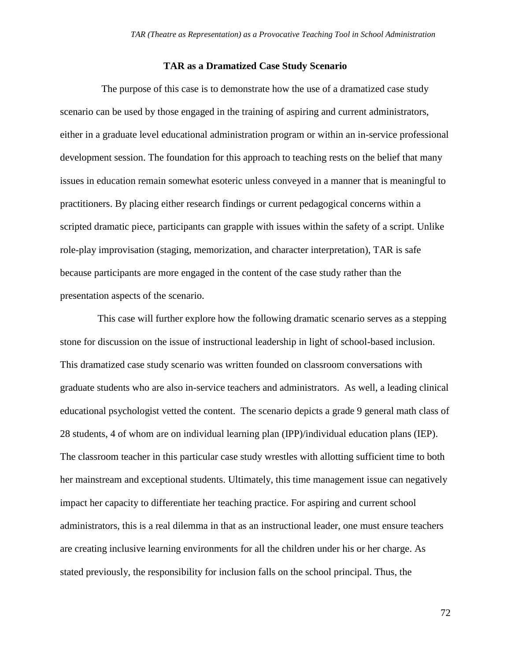#### **TAR as a Dramatized Case Study Scenario**

The purpose of this case is to demonstrate how the use of a dramatized case study scenario can be used by those engaged in the training of aspiring and current administrators, either in a graduate level educational administration program or within an in-service professional development session. The foundation for this approach to teaching rests on the belief that many issues in education remain somewhat esoteric unless conveyed in a manner that is meaningful to practitioners. By placing either research findings or current pedagogical concerns within a scripted dramatic piece, participants can grapple with issues within the safety of a script. Unlike role-play improvisation (staging, memorization, and character interpretation), TAR is safe because participants are more engaged in the content of the case study rather than the presentation aspects of the scenario.

This case will further explore how the following dramatic scenario serves as a stepping stone for discussion on the issue of instructional leadership in light of school-based inclusion. This dramatized case study scenario was written founded on classroom conversations with graduate students who are also in-service teachers and administrators. As well, a leading clinical educational psychologist vetted the content. The scenario depicts a grade 9 general math class of 28 students, 4 of whom are on individual learning plan (IPP)/individual education plans (IEP). The classroom teacher in this particular case study wrestles with allotting sufficient time to both her mainstream and exceptional students. Ultimately, this time management issue can negatively impact her capacity to differentiate her teaching practice. For aspiring and current school administrators, this is a real dilemma in that as an instructional leader, one must ensure teachers are creating inclusive learning environments for all the children under his or her charge. As stated previously, the responsibility for inclusion falls on the school principal. Thus, the

72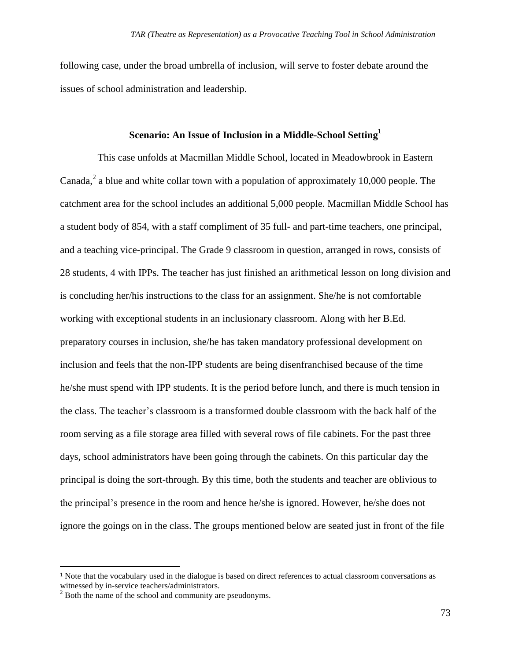following case, under the broad umbrella of inclusion, will serve to foster debate around the issues of school administration and leadership.

## **Scenario: An Issue of Inclusion in a Middle-School Setting<sup>1</sup>**

This case unfolds at Macmillan Middle School, located in Meadowbrook in Eastern Canada,<sup>2</sup> a blue and white collar town with a population of approximately 10,000 people. The catchment area for the school includes an additional 5,000 people. Macmillan Middle School has a student body of 854, with a staff compliment of 35 full- and part-time teachers, one principal, and a teaching vice-principal. The Grade 9 classroom in question, arranged in rows, consists of 28 students, 4 with IPPs. The teacher has just finished an arithmetical lesson on long division and is concluding her/his instructions to the class for an assignment. She/he is not comfortable working with exceptional students in an inclusionary classroom. Along with her B.Ed. preparatory courses in inclusion, she/he has taken mandatory professional development on inclusion and feels that the non-IPP students are being disenfranchised because of the time he/she must spend with IPP students. It is the period before lunch, and there is much tension in the class. The teacher's classroom is a transformed double classroom with the back half of the room serving as a file storage area filled with several rows of file cabinets. For the past three days, school administrators have been going through the cabinets. On this particular day the principal is doing the sort-through. By this time, both the students and teacher are oblivious to the principal's presence in the room and hence he/she is ignored. However, he/she does not ignore the goings on in the class. The groups mentioned below are seated just in front of the file

 $\overline{\phantom{a}}$ 

<sup>1</sup> Note that the vocabulary used in the dialogue is based on direct references to actual classroom conversations as witnessed by in-service teachers/administrators.

 $2^2$  Both the name of the school and community are pseudonyms.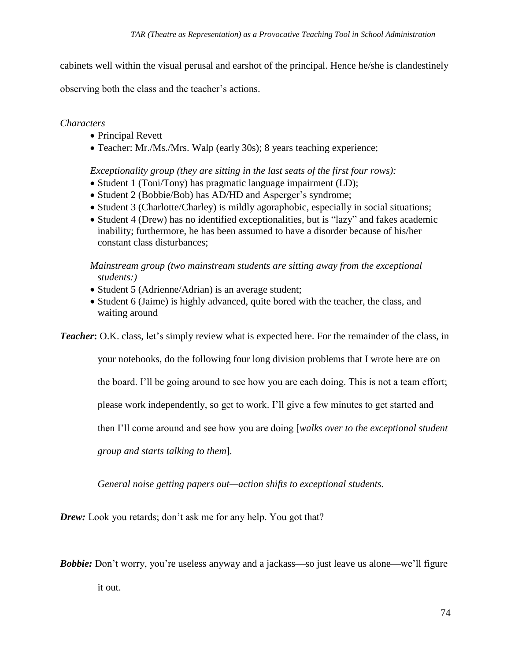cabinets well within the visual perusal and earshot of the principal. Hence he/she is clandestinely

observing both the class and the teacher's actions.

# *Characters*

- Principal Revett
- Teacher: Mr./Ms./Mrs. Walp (early 30s); 8 years teaching experience;

# *Exceptionality group (they are sitting in the last seats of the first four rows):*

- Student 1 (Toni/Tony) has pragmatic language impairment (LD);
- Student 2 (Bobbie/Bob) has AD/HD and Asperger's syndrome;
- Student 3 (Charlotte/Charley) is mildly agoraphobic, especially in social situations;
- Student 4 (Drew) has no identified exceptionalities, but is "lazy" and fakes academic inability; furthermore, he has been assumed to have a disorder because of his/her constant class disturbances;

*Mainstream group (two mainstream students are sitting away from the exceptional students:)*

- Student 5 (Adrienne/Adrian) is an average student;
- Student 6 (Jaime) is highly advanced, quite bored with the teacher, the class, and waiting around

*Teacher*: O.K. class, let's simply review what is expected here. For the remainder of the class, in

your notebooks, do the following four long division problems that I wrote here are on

the board. I'll be going around to see how you are each doing. This is not a team effort;

please work independently, so get to work. I'll give a few minutes to get started and

then I'll come around and see how you are doing [*walks over to the exceptional student* 

*group and starts talking to them*]*.*

*General noise getting papers out—action shifts to exceptional students.*

*Drew:* Look you retards; don't ask me for any help. You got that?

**Bobbie:** Don't worry, you're useless anyway and a jackass—so just leave us alone—we'll figure it out.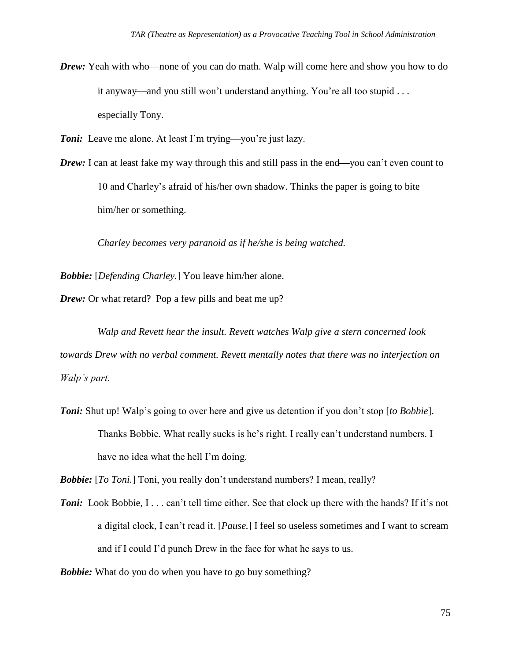*Drew*: Yeah with who—none of you can do math. Walp will come here and show you how to do it anyway—and you still won't understand anything. You're all too stupid . . . especially Tony.

*Toni:* Leave me alone. At least I'm trying—you're just lazy.

*Drew*: I can at least fake my way through this and still pass in the end—you can't even count to 10 and Charley's afraid of his/her own shadow. Thinks the paper is going to bite him/her or something.

*Charley becomes very paranoid as if he/she is being watched.*

*Bobbie:* [*Defending Charley.*] You leave him/her alone.

*Drew:* Or what retard? Pop a few pills and beat me up?

*Walp and Revett hear the insult. Revett watches Walp give a stern concerned look towards Drew with no verbal comment. Revett mentally notes that there was no interjection on Walp's part.*

*Toni:* Shut up! Walp's going to over here and give us detention if you don't stop [*to Bobbie*]. Thanks Bobbie. What really sucks is he's right. I really can't understand numbers. I have no idea what the hell I'm doing.

*Bobbie:* [*To Toni.*] Toni, you really don't understand numbers? I mean, really?

**Toni:** Look Bobbie, I... can't tell time either. See that clock up there with the hands? If it's not a digital clock, I can't read it. [*Pause.*] I feel so useless sometimes and I want to scream and if I could I'd punch Drew in the face for what he says to us.

*Bobbie:* What do you do when you have to go buy something?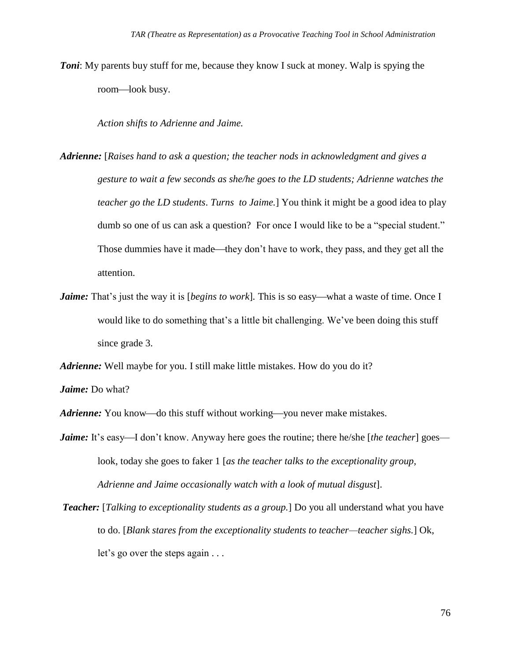*Toni*: My parents buy stuff for me, because they know I suck at money. Walp is spying the room—look busy.

*Action shifts to Adrienne and Jaime.*

- *Adrienne:* [*Raises hand to ask a question; the teacher nods in acknowledgment and gives a gesture to wait a few seconds as she/he goes to the LD students; Adrienne watches the teacher go the LD students*. *Turns to Jaime.*] You think it might be a good idea to play dumb so one of us can ask a question? For once I would like to be a "special student." Those dummies have it made—they don't have to work, they pass, and they get all the attention.
- *Jaime:* That's just the way it is [*begins to work*]. This is so easy—what a waste of time. Once I would like to do something that's a little bit challenging. We've been doing this stuff since grade 3.

*Adrienne:* Well maybe for you. I still make little mistakes. How do you do it?

*Jaime:* Do what?

*Adrienne:* You know—do this stuff without working—you never make mistakes.

*Jaime:* It's easy—I don't know. Anyway here goes the routine; there he/she [*the teacher*] goes look, today she goes to faker 1 [*as the teacher talks to the exceptionality group, Adrienne and Jaime occasionally watch with a look of mutual disgust*].

*Teacher:* [*Talking to exceptionality students as a group.*] Do you all understand what you have to do. [*Blank stares from the exceptionality students to teacher—teacher sighs.*] Ok, let's go over the steps again . . .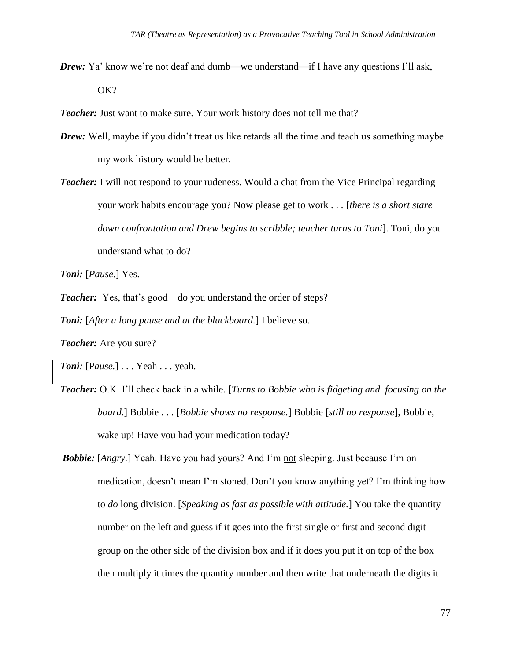*Drew*: Ya' know we're not deaf and dumb—we understand—if I have any questions I'll ask, OK?

**Teacher:** Just want to make sure. Your work history does not tell me that?

- *Drew:* Well, maybe if you didn't treat us like retards all the time and teach us something maybe my work history would be better.
- *Teacher:* I will not respond to your rudeness. Would a chat from the Vice Principal regarding your work habits encourage you? Now please get to work *. . .* [*there is a short stare down confrontation and Drew begins to scribble; teacher turns to Toni*]. Toni, do you understand what to do?

*Toni:* [*Pause.*] Yes.

**Teacher:** Yes, that's good—do you understand the order of steps?

*Toni:* [*After a long pause and at the blackboard.*] I believe so.

*Teacher:* Are you sure?

*Toni:* [P*ause.*] . . . Yeah . . . yeah.

- *Teacher:* O.K. I'll check back in a while. [*Turns to Bobbie who is fidgeting and focusing on the board.*] Bobbie . . . [*Bobbie shows no response.*] Bobbie [*still no response*], Bobbie, wake up! Have you had your medication today?
- *Bobbie:* [*Angry.*] Yeah. Have you had yours? And I'm not sleeping. Just because I'm on medication, doesn't mean I'm stoned. Don't you know anything yet? I'm thinking how to *do* long division. [*Speaking as fast as possible with attitude.*] You take the quantity number on the left and guess if it goes into the first single or first and second digit group on the other side of the division box and if it does you put it on top of the box then multiply it times the quantity number and then write that underneath the digits it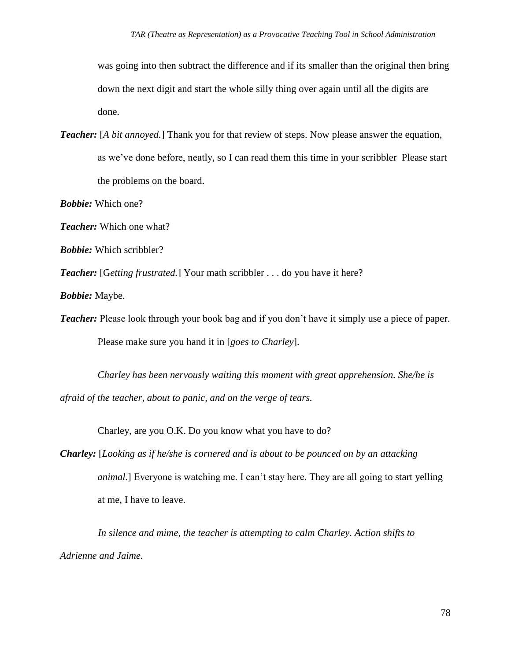was going into then subtract the difference and if its smaller than the original then bring down the next digit and start the whole silly thing over again until all the digits are done.

*Teacher:* [*A bit annoyed.*] Thank you for that review of steps. Now please answer the equation, as we've done before, neatly, so I can read them this time in your scribbler Please start the problems on the board.

*Bobbie:* Which one?

*Teacher:* Which one what?

*Bobbie:* Which scribbler?

*Teacher:* [Getting frustrated.] Your math scribbler . . . do you have it here?

*Bobbie:* Maybe.

*Teacher:* Please look through your book bag and if you don't have it simply use a piece of paper.

Please make sure you hand it in [*goes to Charley*].

*Charley has been nervously waiting this moment with great apprehension. She/he is afraid of the teacher, about to panic, and on the verge of tears.*

Charley, are you O.K. Do you know what you have to do?

*Charley:* [*Looking as if he/she is cornered and is about to be pounced on by an attacking animal.*] Everyone is watching me. I can't stay here. They are all going to start yelling at me, I have to leave.

*In silence and mime, the teacher is attempting to calm Charley. Action shifts to Adrienne and Jaime.*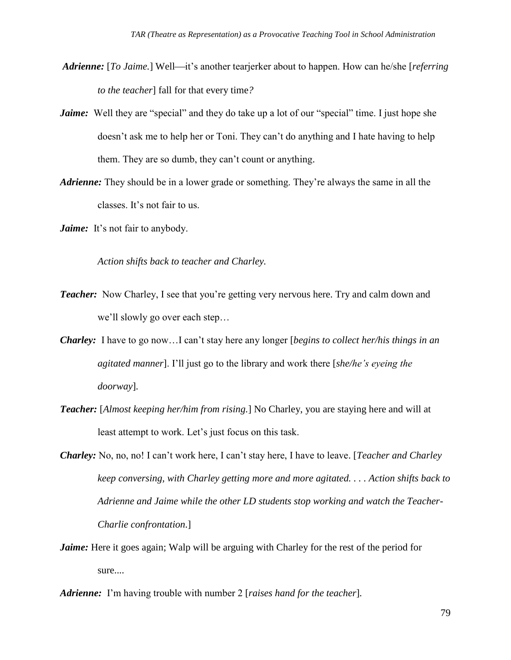- *Adrienne:* [*To Jaime.*] Well—it's another tearjerker about to happen. How can he/she [*referring to the teacher*] fall for that every time*?*
- *Jaime:* Well they are "special" and they do take up a lot of our "special" time. I just hope she doesn't ask me to help her or Toni. They can't do anything and I hate having to help them. They are so dumb, they can't count or anything.
- *Adrienne:* They should be in a lower grade or something. They're always the same in all the classes. It's not fair to us.
- *Jaime:* It's not fair to anybody.

*Action shifts back to teacher and Charley.*

- *Teacher:* Now Charley, I see that you're getting very nervous here. Try and calm down and we'll slowly go over each step…
- *Charley:* I have to go now…I can't stay here any longer [*begins to collect her/his things in an agitated manner*]. I'll just go to the library and work there [*she/he's eyeing the doorway*]*.*
- *Teacher:* [*Almost keeping her/him from rising.*] No Charley, you are staying here and will at least attempt to work. Let's just focus on this task.
- *Charley:* No, no, no! I can't work here, I can't stay here, I have to leave. [*Teacher and Charley keep conversing, with Charley getting more and more agitated. . . . Action shifts back to Adrienne and Jaime while the other LD students stop working and watch the Teacher-Charlie confrontation.*]
- *Jaime:* Here it goes again; Walp will be arguing with Charley for the rest of the period for sure....
- *Adrienne:* I'm having trouble with number 2 [*raises hand for the teacher*]*.*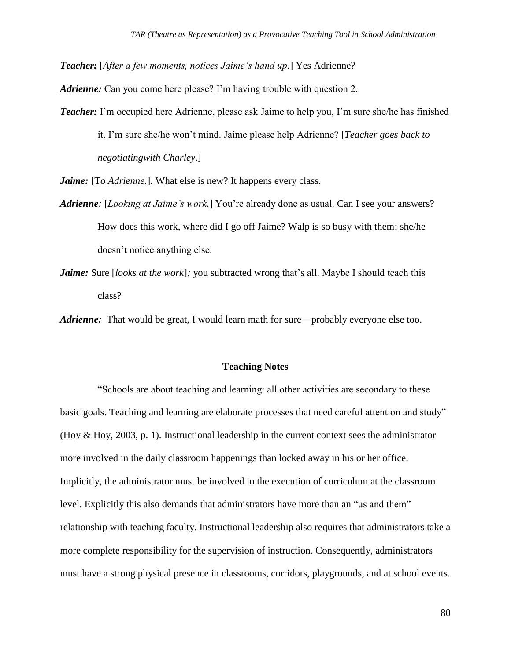*Teacher:* [*After a few moments, notices Jaime's hand up.*] Yes Adrienne?

*Adrienne:* Can you come here please? I'm having trouble with question 2.

*Teacher:* I'm occupied here Adrienne, please ask Jaime to help you, I'm sure she/he has finished it. I'm sure she/he won't mind. Jaime please help Adrienne? [*Teacher goes back to negotiatingwith Charley*.]

*Jaime:* [To Adrienne.]. What else is new? It happens every class.

- *Adrienne:* [*Looking at Jaime's work.*] You're already done as usual. Can I see your answers? How does this work, where did I go off Jaime? Walp is so busy with them; she/he doesn't notice anything else.
- *Jaime:* Sure *[looks at the work]*; you subtracted wrong that's all. Maybe I should teach this class?

*Adrienne:* That would be great, I would learn math for sure—probably everyone else too.

## **Teaching Notes**

"Schools are about teaching and learning: all other activities are secondary to these basic goals. Teaching and learning are elaborate processes that need careful attention and study" (Hoy & Hoy, 2003, p. 1). Instructional leadership in the current context sees the administrator more involved in the daily classroom happenings than locked away in his or her office. Implicitly, the administrator must be involved in the execution of curriculum at the classroom level. Explicitly this also demands that administrators have more than an "us and them" relationship with teaching faculty. Instructional leadership also requires that administrators take a more complete responsibility for the supervision of instruction. Consequently, administrators must have a strong physical presence in classrooms, corridors, playgrounds, and at school events.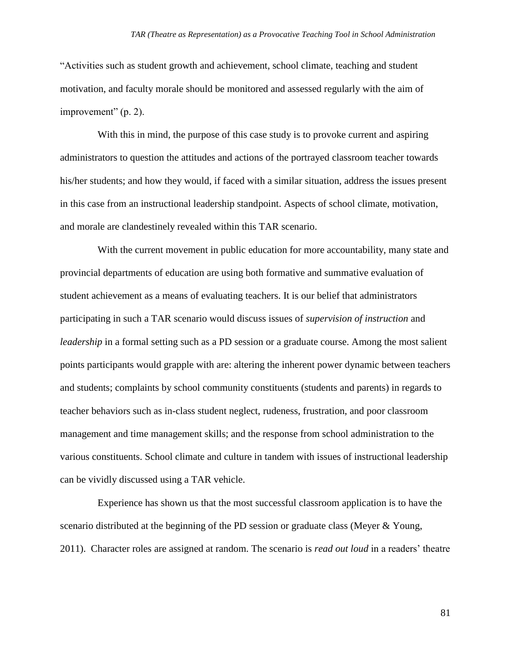"Activities such as student growth and achievement, school climate, teaching and student motivation, and faculty morale should be monitored and assessed regularly with the aim of improvement" (p. 2).

With this in mind, the purpose of this case study is to provoke current and aspiring administrators to question the attitudes and actions of the portrayed classroom teacher towards his/her students; and how they would, if faced with a similar situation, address the issues present in this case from an instructional leadership standpoint. Aspects of school climate, motivation, and morale are clandestinely revealed within this TAR scenario.

With the current movement in public education for more accountability, many state and provincial departments of education are using both formative and summative evaluation of student achievement as a means of evaluating teachers. It is our belief that administrators participating in such a TAR scenario would discuss issues of *supervision of instruction* and *leadership* in a formal setting such as a PD session or a graduate course. Among the most salient points participants would grapple with are: altering the inherent power dynamic between teachers and students; complaints by school community constituents (students and parents) in regards to teacher behaviors such as in-class student neglect, rudeness, frustration, and poor classroom management and time management skills; and the response from school administration to the various constituents. School climate and culture in tandem with issues of instructional leadership can be vividly discussed using a TAR vehicle.

Experience has shown us that the most successful classroom application is to have the scenario distributed at the beginning of the PD session or graduate class (Meyer & Young, 2011). Character roles are assigned at random. The scenario is *read out loud* in a readers' theatre

81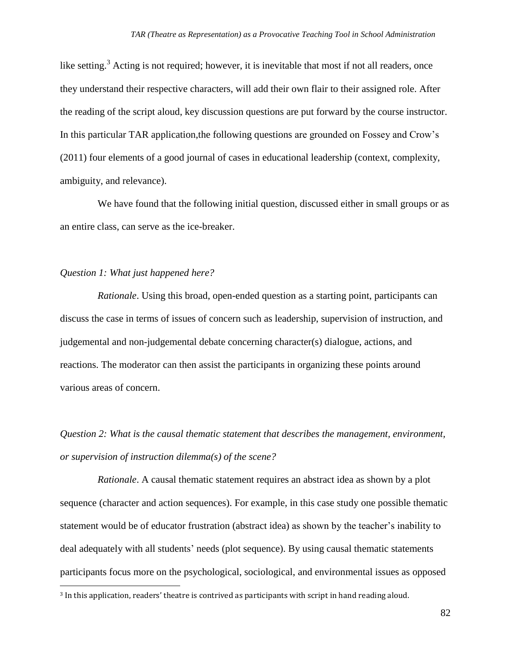like setting.<sup>3</sup> Acting is not required; however, it is inevitable that most if not all readers, once they understand their respective characters, will add their own flair to their assigned role. After the reading of the script aloud, key discussion questions are put forward by the course instructor. In this particular TAR application,the following questions are grounded on Fossey and Crow's (2011) four elements of a good journal of cases in educational leadership (context, complexity, ambiguity, and relevance).

We have found that the following initial question, discussed either in small groups or as an entire class, can serve as the ice-breaker.

## *Question 1: What just happened here?*

*Rationale*. Using this broad, open-ended question as a starting point, participants can discuss the case in terms of issues of concern such as leadership, supervision of instruction, and judgemental and non-judgemental debate concerning character(s) dialogue, actions, and reactions. The moderator can then assist the participants in organizing these points around various areas of concern.

*Question 2: What is the causal thematic statement that describes the management, environment, or supervision of instruction dilemma(s) of the scene?*

*Rationale*. A causal thematic statement requires an abstract idea as shown by a plot sequence (character and action sequences). For example, in this case study one possible thematic statement would be of educator frustration (abstract idea) as shown by the teacher's inability to deal adequately with all students' needs (plot sequence). By using causal thematic statements participants focus more on the psychological, sociological, and environmental issues as opposed l

<sup>3</sup> In this application, readers' theatre is contrived as participants with script in hand reading aloud.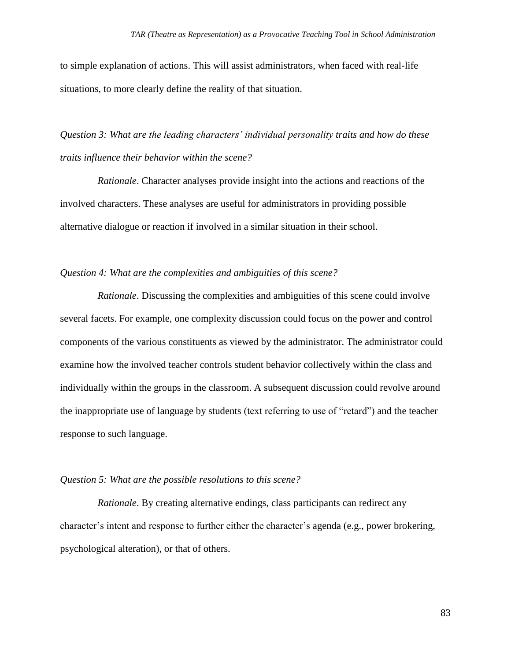to simple explanation of actions. This will assist administrators, when faced with real-life situations, to more clearly define the reality of that situation.

*Question 3: What are the leading characters' individual personality traits and how do these traits influence their behavior within the scene?*

*Rationale*. Character analyses provide insight into the actions and reactions of the involved characters. These analyses are useful for administrators in providing possible alternative dialogue or reaction if involved in a similar situation in their school.

# *Question 4: What are the complexities and ambiguities of this scene?*

*Rationale*. Discussing the complexities and ambiguities of this scene could involve several facets. For example, one complexity discussion could focus on the power and control components of the various constituents as viewed by the administrator. The administrator could examine how the involved teacher controls student behavior collectively within the class and individually within the groups in the classroom. A subsequent discussion could revolve around the inappropriate use of language by students (text referring to use of "retard") and the teacher response to such language.

#### *Question 5: What are the possible resolutions to this scene?*

*Rationale*. By creating alternative endings, class participants can redirect any character's intent and response to further either the character's agenda (e.g., power brokering, psychological alteration), or that of others.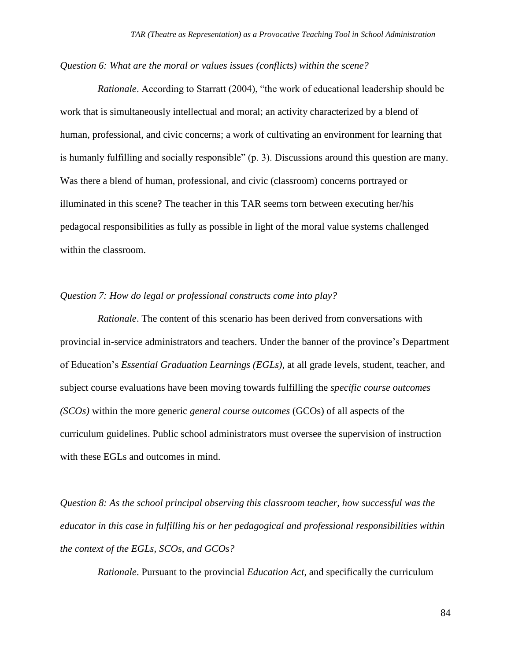*Question 6: What are the moral or values issues (conflicts) within the scene?*

*Rationale*. According to Starratt (2004), "the work of educational leadership should be work that is simultaneously intellectual and moral; an activity characterized by a blend of human, professional, and civic concerns; a work of cultivating an environment for learning that is humanly fulfilling and socially responsible" (p. 3). Discussions around this question are many. Was there a blend of human, professional, and civic (classroom) concerns portrayed or illuminated in this scene? The teacher in this TAR seems torn between executing her/his pedagocal responsibilities as fully as possible in light of the moral value systems challenged within the classroom.

#### *Question 7: How do legal or professional constructs come into play?*

*Rationale*. The content of this scenario has been derived from conversations with provincial in-service administrators and teachers. Under the banner of the province's Department of Education's *Essential Graduation Learnings (EGLs),* at all grade levels, student, teacher, and subject course evaluations have been moving towards fulfilling the *specific course outcomes (SCOs)* within the more generic *general course outcomes* (GCOs) of all aspects of the curriculum guidelines. Public school administrators must oversee the supervision of instruction with these EGLs and outcomes in mind.

*Question 8: As the school principal observing this classroom teacher, how successful was the educator in this case in fulfilling his or her pedagogical and professional responsibilities within the context of the EGLs, SCOs, and GCOs?*

*Rationale*. Pursuant to the provincial *Education Act*, and specifically the curriculum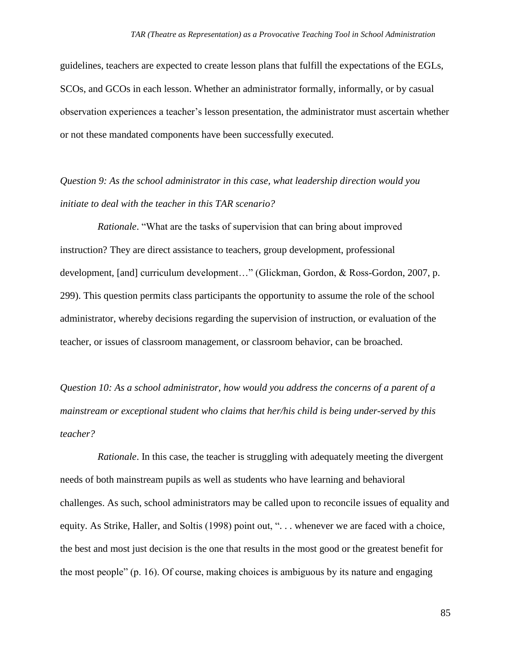guidelines, teachers are expected to create lesson plans that fulfill the expectations of the EGLs, SCOs, and GCOs in each lesson. Whether an administrator formally, informally, or by casual observation experiences a teacher's lesson presentation, the administrator must ascertain whether or not these mandated components have been successfully executed.

*Question 9: As the school administrator in this case, what leadership direction would you initiate to deal with the teacher in this TAR scenario?*

*Rationale*. "What are the tasks of supervision that can bring about improved instruction? They are direct assistance to teachers, group development, professional development, [and] curriculum development…" (Glickman, Gordon, & Ross-Gordon, 2007, p. 299). This question permits class participants the opportunity to assume the role of the school administrator, whereby decisions regarding the supervision of instruction, or evaluation of the teacher, or issues of classroom management, or classroom behavior, can be broached.

*Question 10: As a school administrator, how would you address the concerns of a parent of a mainstream or exceptional student who claims that her/his child is being under-served by this teacher?*

*Rationale*. In this case, the teacher is struggling with adequately meeting the divergent needs of both mainstream pupils as well as students who have learning and behavioral challenges. As such, school administrators may be called upon to reconcile issues of equality and equity. As Strike, Haller, and Soltis (1998) point out, ". . . whenever we are faced with a choice, the best and most just decision is the one that results in the most good or the greatest benefit for the most people" (p. 16). Of course, making choices is ambiguous by its nature and engaging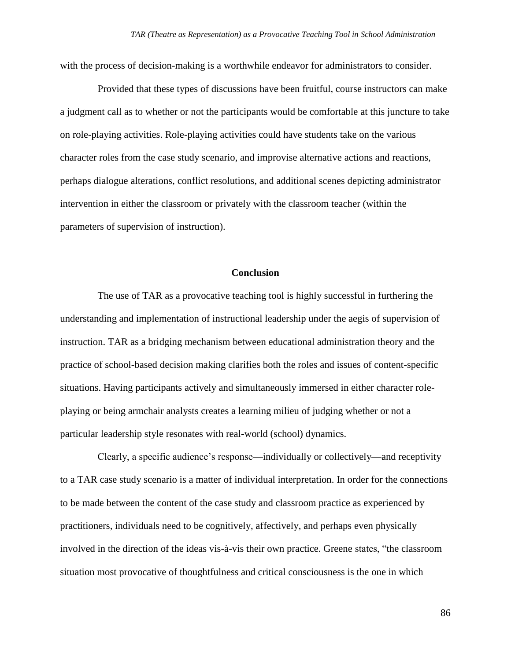with the process of decision-making is a worthwhile endeavor for administrators to consider.

Provided that these types of discussions have been fruitful, course instructors can make a judgment call as to whether or not the participants would be comfortable at this juncture to take on role-playing activities. Role-playing activities could have students take on the various character roles from the case study scenario, and improvise alternative actions and reactions, perhaps dialogue alterations, conflict resolutions, and additional scenes depicting administrator intervention in either the classroom or privately with the classroom teacher (within the parameters of supervision of instruction).

#### **Conclusion**

The use of TAR as a provocative teaching tool is highly successful in furthering the understanding and implementation of instructional leadership under the aegis of supervision of instruction. TAR as a bridging mechanism between educational administration theory and the practice of school-based decision making clarifies both the roles and issues of content-specific situations. Having participants actively and simultaneously immersed in either character roleplaying or being armchair analysts creates a learning milieu of judging whether or not a particular leadership style resonates with real-world (school) dynamics.

Clearly, a specific audience's response—individually or collectively—and receptivity to a TAR case study scenario is a matter of individual interpretation. In order for the connections to be made between the content of the case study and classroom practice as experienced by practitioners, individuals need to be cognitively, affectively, and perhaps even physically involved in the direction of the ideas vis-à-vis their own practice. Greene states, "the classroom situation most provocative of thoughtfulness and critical consciousness is the one in which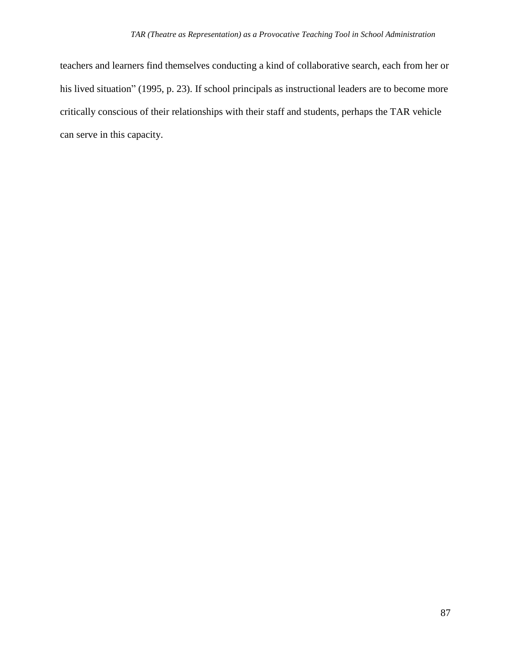teachers and learners find themselves conducting a kind of collaborative search, each from her or his lived situation" (1995, p. 23). If school principals as instructional leaders are to become more critically conscious of their relationships with their staff and students, perhaps the TAR vehicle can serve in this capacity.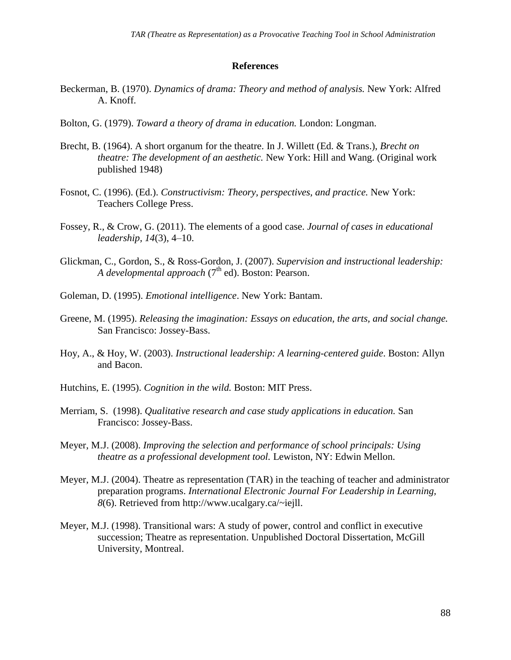#### **References**

- Beckerman, B. (1970). *Dynamics of drama: Theory and method of analysis.* New York: Alfred A. Knoff.
- Bolton, G. (1979). *Toward a theory of drama in education.* London: Longman.
- Brecht, B. (1964). A short organum for the theatre. In J. Willett (Ed. & Trans.), *Brecht on theatre: The development of an aesthetic.* New York: Hill and Wang. (Original work published 1948)
- Fosnot, C. (1996). (Ed.). *Constructivism: Theory, perspectives, and practice.* New York: Teachers College Press.
- Fossey, R., & Crow, G. (2011). The elements of a good case. *Journal of cases in educational leadership, 14*(3), 4–10.
- Glickman, C., Gordon, S., & Ross-Gordon, J. (2007). *Supervision and instructional leadership: A developmental approach* (7<sup>th</sup> ed). Boston: Pearson.
- Goleman, D. (1995). *Emotional intelligence*. New York: Bantam.
- Greene, M. (1995). *Releasing the imagination: Essays on education, the arts, and social change.* San Francisco: Jossey-Bass.
- Hoy, A., & Hoy, W. (2003). *Instructional leadership: A learning-centered guide*. Boston: Allyn and Bacon.
- Hutchins, E. (1995). *Cognition in the wild.* Boston: MIT Press.
- Merriam, S. (1998). *Qualitative research and case study applications in education.* San Francisco: Jossey-Bass.
- Meyer, M.J. (2008). *Improving the selection and performance of school principals: Using theatre as a professional development tool.* Lewiston, NY: Edwin Mellon.
- Meyer, M.J. (2004). Theatre as representation (TAR) in the teaching of teacher and administrator preparation programs. *International Electronic Journal For Leadership in Learning, 8*(6). Retrieved from [http://www.ucalgary.ca/~iejll.](http://www.ucalgary.ca/~iejll)
- Meyer, M.J. (1998). Transitional wars: A study of power, control and conflict in executive succession; Theatre as representation. Unpublished Doctoral Dissertation, McGill University, Montreal.